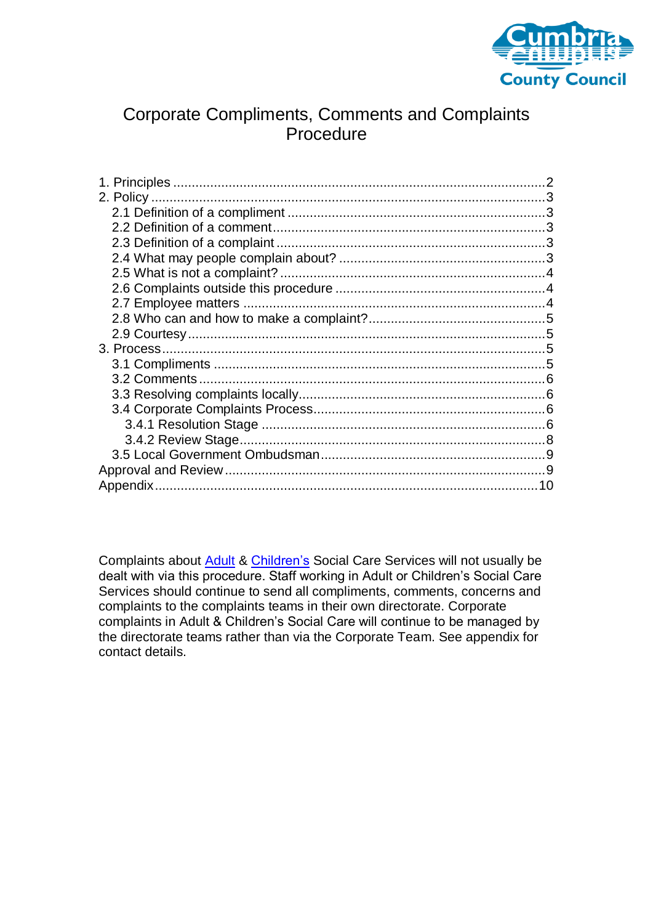

# Corporate Compliments, Comments and Complaints **Procedure**

Complaints about [Adult](http://www.web.ccc/socsarchive/user/document.asp?ID=4562&Room=66&RoomTitle=2.%20%20Adult%20Social%20Care%20-%20Service%20Development%20and%20Support&Cabinet=133&CabinetTitle=Compliments%20Comments%20and%20Complaints&Drawer=308&DrawerTitle=General&Folder=805&FolderTitle=Cumbrias%203P%20Documents) & [Children's](http://www.cumbria.gov.uk/eLibrary/Content/Internet/327/4198/39108153150.pdf) Social Care Services will not usually be dealt with via this procedure. Staff working in Adult or Children's Social Care Services should continue to send all compliments, comments, concerns and complaints to the complaints teams in their own directorate. Corporate complaints in Adult & Children's Social Care will continue to be managed by the directorate teams rather than via the Corporate Team. See appendix for contact details.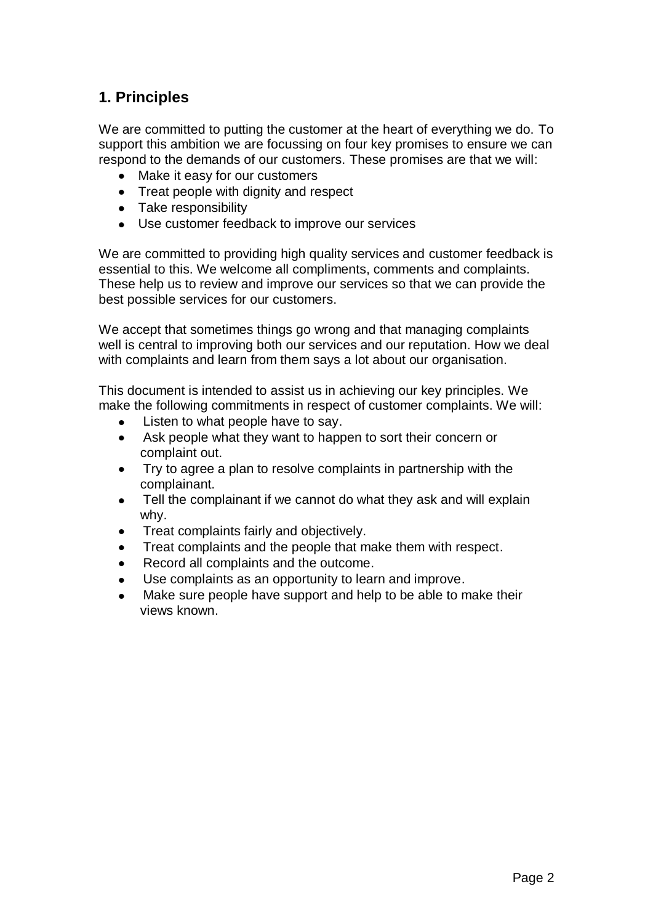# <span id="page-1-0"></span>**1. Principles**

We are committed to putting the customer at the heart of everything we do. To support this ambition we are focussing on four key promises to ensure we can respond to the demands of our customers. These promises are that we will:

- Make it easy for our customers
- Treat people with dignity and respect
- Take responsibility
- Use customer feedback to improve our services

We are committed to providing high quality services and customer feedback is essential to this. We welcome all compliments, comments and complaints. These help us to review and improve our services so that we can provide the best possible services for our customers.

We accept that sometimes things go wrong and that managing complaints well is central to improving both our services and our reputation. How we deal with complaints and learn from them says a lot about our organisation.

This document is intended to assist us in achieving our key principles. We make the following commitments in respect of customer complaints. We will:

- Listen to what people have to say.  $\bullet$
- $\bullet$ Ask people what they want to happen to sort their concern or complaint out.
- Try to agree a plan to resolve complaints in partnership with the complainant.
- Tell the complainant if we cannot do what they ask and will explain  $\bullet$ why.
- Treat complaints fairly and objectively.
- Treat complaints and the people that make them with respect.
- Record all complaints and the outcome.
- Use complaints as an opportunity to learn and improve.
- Make sure people have support and help to be able to make their views known.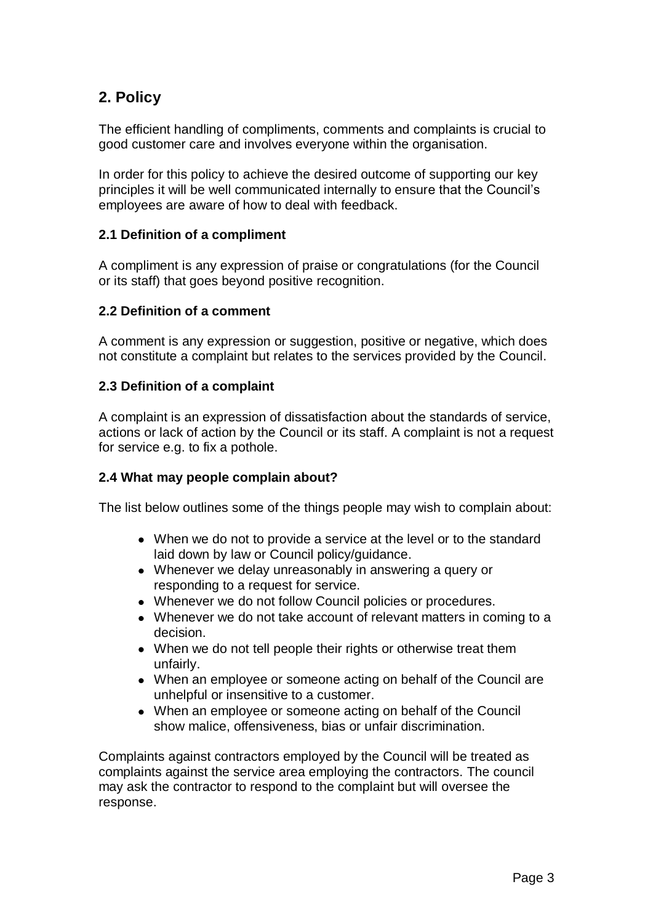# <span id="page-2-0"></span>**2. Policy**

The efficient handling of compliments, comments and complaints is crucial to good customer care and involves everyone within the organisation.

In order for this policy to achieve the desired outcome of supporting our key principles it will be well communicated internally to ensure that the Council's employees are aware of how to deal with feedback.

# <span id="page-2-1"></span>**2.1 Definition of a compliment**

A compliment is any expression of praise or congratulations (for the Council or its staff) that goes beyond positive recognition.

# <span id="page-2-2"></span>**2.2 Definition of a comment**

A comment is any expression or suggestion, positive or negative, which does not constitute a complaint but relates to the services provided by the Council.

## <span id="page-2-3"></span>**2.3 Definition of a complaint**

A complaint is an expression of dissatisfaction about the standards of service, actions or lack of action by the Council or its staff. A complaint is not a request for service e.g. to fix a pothole.

# <span id="page-2-4"></span>**2.4 What may people complain about?**

The list below outlines some of the things people may wish to complain about:

- When we do not to provide a service at the level or to the standard laid down by law or Council policy/guidance.
- Whenever we delay unreasonably in answering a query or responding to a request for service.
- Whenever we do not follow Council policies or procedures.
- Whenever we do not take account of relevant matters in coming to a decision.
- When we do not tell people their rights or otherwise treat them unfairly.
- When an employee or someone acting on behalf of the Council are unhelpful or insensitive to a customer.
- When an employee or someone acting on behalf of the Council show malice, offensiveness, bias or unfair discrimination.

Complaints against contractors employed by the Council will be treated as complaints against the service area employing the contractors. The council may ask the contractor to respond to the complaint but will oversee the response.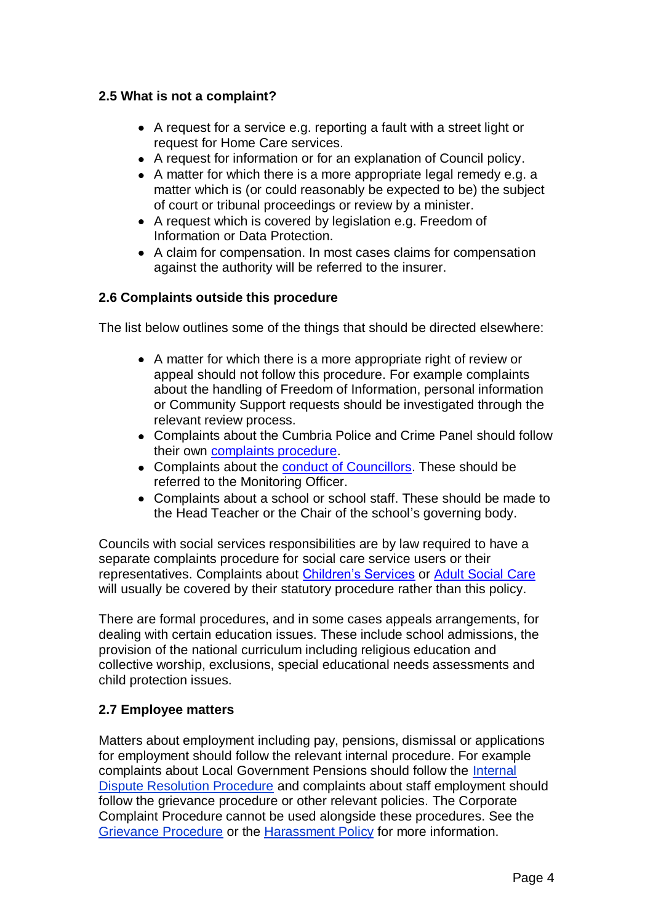## <span id="page-3-0"></span>**2.5 What is not a complaint?**

- A request for a service e.g. reporting a fault with a street light or request for Home Care services.
- A request for information or for an explanation of Council policy.
- A matter for which there is a more appropriate legal remedy e.g. a matter which is (or could reasonably be expected to be) the subject of court or tribunal proceedings or review by a minister.
- A request which is covered by legislation e.g. Freedom of Information or Data Protection.
- A claim for compensation. In most cases claims for compensation against the authority will be referred to the insurer.

# <span id="page-3-1"></span>**2.6 Complaints outside this procedure**

The list below outlines some of the things that should be directed elsewhere:

- A matter for which there is a more appropriate right of review or appeal should not follow this procedure. For example complaints about the handling of Freedom of Information, personal information or Community Support requests should be investigated through the relevant review process.
- Complaints about the Cumbria Police and Crime Panel should follow their own [complaints procedure.](http://cumbriapcp.org.uk/mgGeneric.aspx?MD=pcpabout)
- Complaints about the [conduct of Councillors.](http://www.cumbria.gov.uk/council-democracy/councillors-democracy-elections/standardscommittee/default.asp) These should be referred to the Monitoring Officer.
- Complaints about a school or school staff. These should be made to the Head Teacher or the Chair of the school's governing body.

Councils with social services responsibilities are by law required to have a separate complaints procedure for social care service users or their representatives. Complaints about [Children's Services](http://www.cumbria.gov.uk/eLibrary/Content/Internet/327/4198/39108153150.pdf) or [Adult Social Care](http://www.web.ccc/socsarchive/user/document.asp?ID=4562&Room=66&RoomTitle=2.%20%20Adult%20Social%20Care%20-%20Service%20Development%20and%20Support&Cabinet=133&CabinetTitle=Compliments%20Comments%20and%20Complaints&Drawer=308&DrawerTitle=General&Folder=805&FolderTitle=Cumbrias%203P%20Documents) will usually be covered by their statutory procedure rather than this policy.

There are formal procedures, and in some cases appeals arrangements, for dealing with certain education issues. These include school admissions, the provision of the national curriculum including religious education and collective worship, exclusions, special educational needs assessments and child protection issues.

## <span id="page-3-2"></span>**2.7 Employee matters**

Matters about employment including pay, pensions, dismissal or applications for employment should follow the relevant internal procedure. For example complaints about Local Government Pensions should follow the [Internal](http://www.cumbria.gov.uk/elibrary/view.asp?id=51227)  [Dispute Resolution Procedure](http://www.cumbria.gov.uk/elibrary/view.asp?id=51227) and complaints about staff employment should follow the grievance procedure or other relevant policies. The Corporate Complaint Procedure cannot be used alongside these procedures. See the [Grievance Procedure](http://www.intouch.ccc/elibrary/view.asp?id=16146) or the [Harassment Policy](http://www.intouch.ccc/eLibrary/Content/Internet/536/5901/6049/3825391328.pdf) for more information.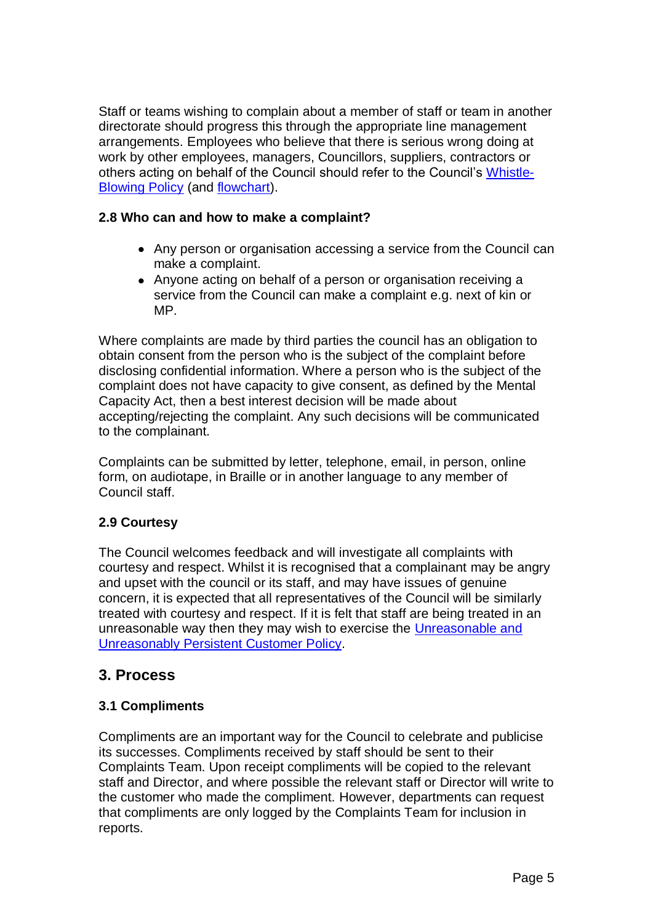Staff or teams wishing to complain about a member of staff or team in another directorate should progress this through the appropriate line management arrangements. Employees who believe that there is serious wrong doing at work by other employees, managers, Councillors, suppliers, contractors or others acting on behalf of the Council should refer to the Council's [Whistle-](http://councilportal.cumbria.gov.uk/documents/s16236/WhistleBlowing%20Policy.pdf)[Blowing Policy](http://councilportal.cumbria.gov.uk/documents/s16236/WhistleBlowing%20Policy.pdf) (and [flowchart\)](http://councilportal.cumbria.gov.uk/documents/s16237/WhistleBlowing%20Flowchart.pdf).

## <span id="page-4-0"></span>**2.8 Who can and how to make a complaint?**

- Any person or organisation accessing a service from the Council can make a complaint.
- Anyone acting on behalf of a person or organisation receiving a service from the Council can make a complaint e.g. next of kin or MP.

Where complaints are made by third parties the council has an obligation to obtain consent from the person who is the subject of the complaint before disclosing confidential information. Where a person who is the subject of the complaint does not have capacity to give consent, as defined by the Mental Capacity Act, then a best interest decision will be made about accepting/rejecting the complaint. Any such decisions will be communicated to the complainant.

Complaints can be submitted by letter, telephone, email, in person, online form, on audiotape, in Braille or in another language to any member of Council staff.

# <span id="page-4-1"></span>**2.9 Courtesy**

The Council welcomes feedback and will investigate all complaints with courtesy and respect. Whilst it is recognised that a complainant may be angry and upset with the council or its staff, and may have issues of genuine concern, it is expected that all representatives of the Council will be similarly treated with courtesy and respect. If it is felt that staff are being treated in an unreasonable way then they may wish to exercise the [Unreasonable and](http://www.intouch.ccc/elibrary/Content/Internet/536/650/40974144850.pdf)  [Unreasonably Persistent Customer Policy.](http://www.intouch.ccc/elibrary/Content/Internet/536/650/40974144850.pdf)

# <span id="page-4-2"></span>**3. Process**

# <span id="page-4-3"></span>**3.1 Compliments**

Compliments are an important way for the Council to celebrate and publicise its successes. Compliments received by staff should be sent to their Complaints Team. Upon receipt compliments will be copied to the relevant staff and Director, and where possible the relevant staff or Director will write to the customer who made the compliment. However, departments can request that compliments are only logged by the Complaints Team for inclusion in reports.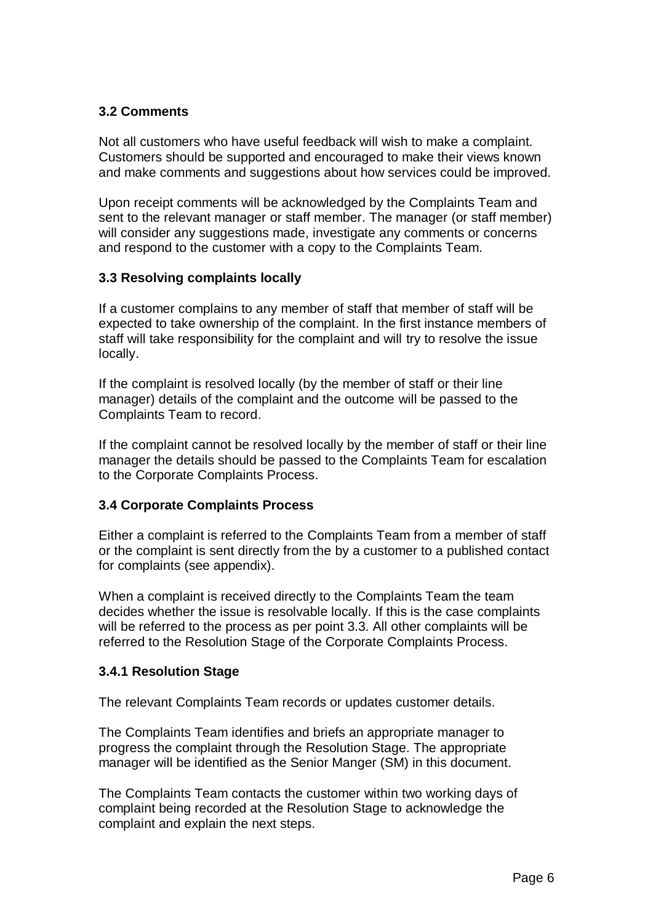# <span id="page-5-0"></span>**3.2 Comments**

Not all customers who have useful feedback will wish to make a complaint. Customers should be supported and encouraged to make their views known and make comments and suggestions about how services could be improved.

Upon receipt comments will be acknowledged by the Complaints Team and sent to the relevant manager or staff member. The manager (or staff member) will consider any suggestions made, investigate any comments or concerns and respond to the customer with a copy to the Complaints Team.

# <span id="page-5-1"></span>**3.3 Resolving complaints locally**

If a customer complains to any member of staff that member of staff will be expected to take ownership of the complaint. In the first instance members of staff will take responsibility for the complaint and will try to resolve the issue locally.

If the complaint is resolved locally (by the member of staff or their line manager) details of the complaint and the outcome will be passed to the Complaints Team to record.

If the complaint cannot be resolved locally by the member of staff or their line manager the details should be passed to the Complaints Team for escalation to the Corporate Complaints Process.

## <span id="page-5-2"></span>**3.4 Corporate Complaints Process**

Either a complaint is referred to the Complaints Team from a member of staff or the complaint is sent directly from the by a customer to a published contact for complaints (see appendix).

When a complaint is received directly to the Complaints Team the team decides whether the issue is resolvable locally. If this is the case complaints will be referred to the process as per point 3.3. All other complaints will be referred to the Resolution Stage of the Corporate Complaints Process.

# <span id="page-5-3"></span>**3.4.1 Resolution Stage**

The relevant Complaints Team records or updates customer details.

The Complaints Team identifies and briefs an appropriate manager to progress the complaint through the Resolution Stage. The appropriate manager will be identified as the Senior Manger (SM) in this document.

The Complaints Team contacts the customer within two working days of complaint being recorded at the Resolution Stage to acknowledge the complaint and explain the next steps.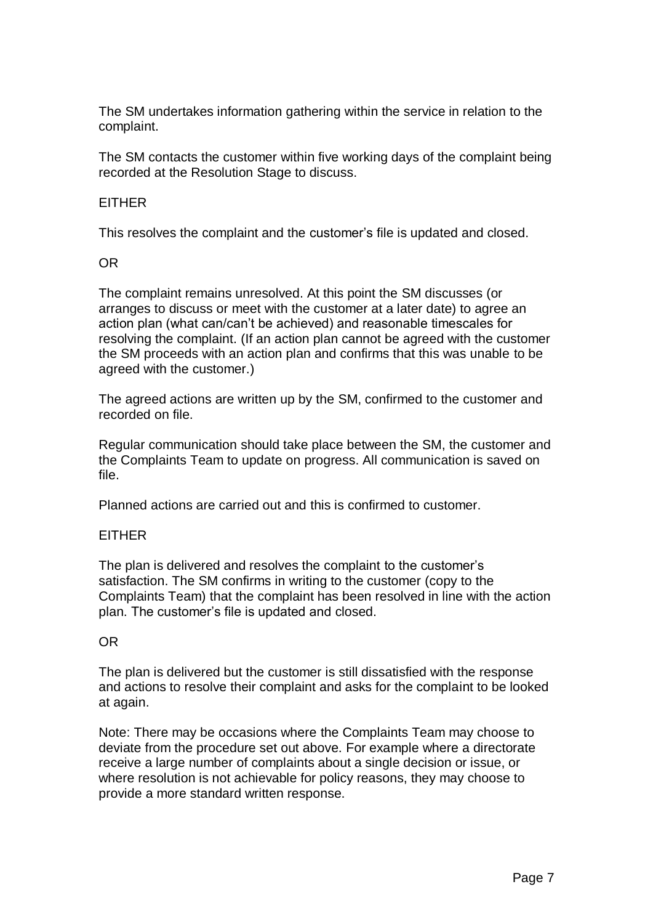The SM undertakes information gathering within the service in relation to the complaint.

The SM contacts the customer within five working days of the complaint being recorded at the Resolution Stage to discuss.

## EITHER

This resolves the complaint and the customer's file is updated and closed.

#### OR

The complaint remains unresolved. At this point the SM discusses (or arranges to discuss or meet with the customer at a later date) to agree an action plan (what can/can't be achieved) and reasonable timescales for resolving the complaint. (If an action plan cannot be agreed with the customer the SM proceeds with an action plan and confirms that this was unable to be agreed with the customer.)

The agreed actions are written up by the SM, confirmed to the customer and recorded on file.

Regular communication should take place between the SM, the customer and the Complaints Team to update on progress. All communication is saved on file.

Planned actions are carried out and this is confirmed to customer.

## EITHER

The plan is delivered and resolves the complaint to the customer's satisfaction. The SM confirms in writing to the customer (copy to the Complaints Team) that the complaint has been resolved in line with the action plan. The customer's file is updated and closed.

## OR

The plan is delivered but the customer is still dissatisfied with the response and actions to resolve their complaint and asks for the complaint to be looked at again.

Note: There may be occasions where the Complaints Team may choose to deviate from the procedure set out above. For example where a directorate receive a large number of complaints about a single decision or issue, or where resolution is not achievable for policy reasons, they may choose to provide a more standard written response.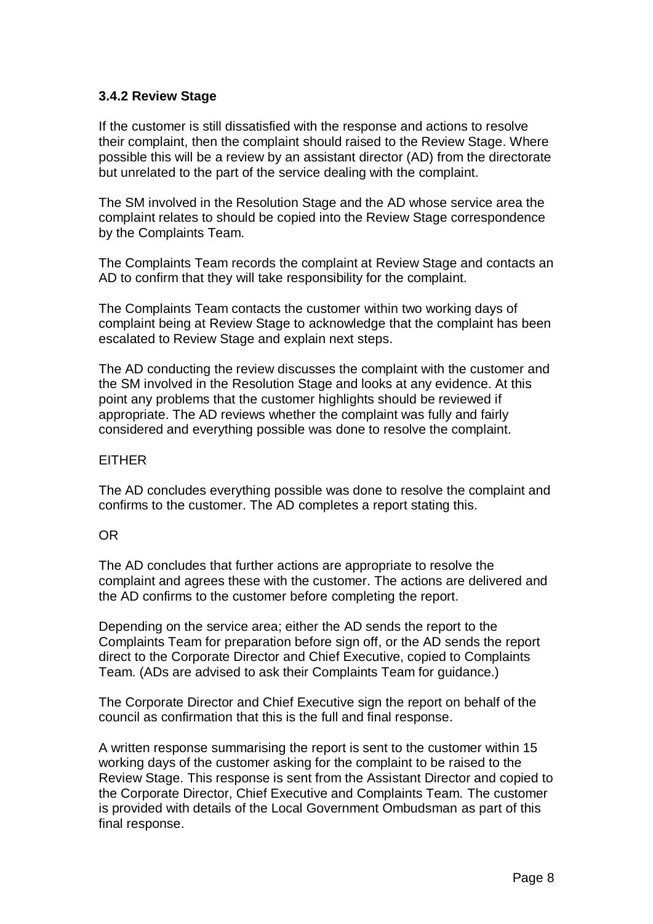## <span id="page-7-0"></span>**3.4.2 Review Stage**

If the customer is still dissatisfied with the response and actions to resolve their complaint, then the complaint should raised to the Review Stage. Where possible this will be a review by an assistant director (AD) from the directorate but unrelated to the part of the service dealing with the complaint.

The SM involved in the Resolution Stage and the AD whose service area the complaint relates to should be copied into the Review Stage correspondence by the Complaints Team.

The Complaints Team records the complaint at Review Stage and contacts an AD to confirm that they will take responsibility for the complaint.

The Complaints Team contacts the customer within two working days of complaint being at Review Stage to acknowledge that the complaint has been escalated to Review Stage and explain next steps.

The AD conducting the review discusses the complaint with the customer and the SM involved in the Resolution Stage and looks at any evidence. At this point any problems that the customer highlights should be reviewed if appropriate. The AD reviews whether the complaint was fully and fairly considered and everything possible was done to resolve the complaint.

#### **EITHER**

The AD concludes everything possible was done to resolve the complaint and confirms to the customer. The AD completes a report stating this.

## OR

The AD concludes that further actions are appropriate to resolve the complaint and agrees these with the customer. The actions are delivered and the AD confirms to the customer before completing the report.

Depending on the service area; either the AD sends the report to the Complaints Team for preparation before sign off, or the AD sends the report direct to the Corporate Director and Chief Executive, copied to Complaints Team. (ADs are advised to ask their Complaints Team for guidance.)

The Corporate Director and Chief Executive sign the report on behalf of the council as confirmation that this is the full and final response.

A written response summarising the report is sent to the customer within 15 working days of the customer asking for the complaint to be raised to the Review Stage. This response is sent from the Assistant Director and copied to the Corporate Director, Chief Executive and Complaints Team. The customer is provided with details of the Local Government Ombudsman as part of this final response.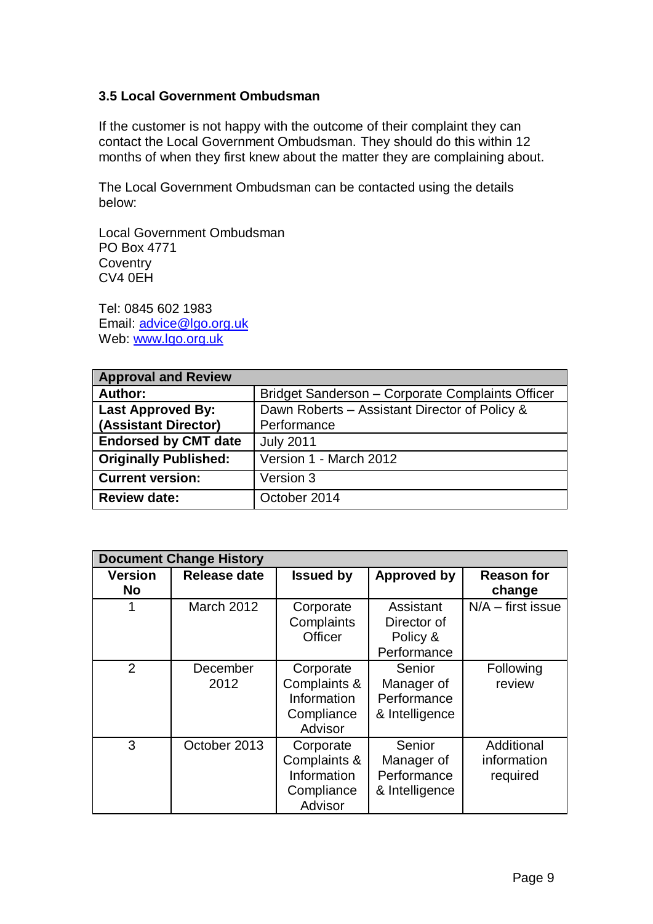## <span id="page-8-0"></span>**3.5 Local Government Ombudsman**

If the customer is not happy with the outcome of their complaint they can contact the Local Government Ombudsman. They should do this within 12 months of when they first knew about the matter they are complaining about.

The Local Government Ombudsman can be contacted using the details below:

Local Government Ombudsman PO Box 4771 **Coventry** CV4 0EH

Tel: 0845 602 1983 Email: [advice@lgo.org.uk](mailto:advice@lgo.org.uk) Web: www.lgo.org.uk

<span id="page-8-1"></span>

| <b>Approval and Review</b>   |                                                  |
|------------------------------|--------------------------------------------------|
| Author:                      | Bridget Sanderson - Corporate Complaints Officer |
| <b>Last Approved By:</b>     | Dawn Roberts - Assistant Director of Policy &    |
| (Assistant Director)         | Performance                                      |
| <b>Endorsed by CMT date</b>  | <b>July 2011</b>                                 |
| <b>Originally Published:</b> | Version 1 - March 2012                           |
| <b>Current version:</b>      | Version 3                                        |
| <b>Review date:</b>          | October 2014                                     |

| <b>Document Change History</b> |                   |                                                                   |                                                       |                                       |  |
|--------------------------------|-------------------|-------------------------------------------------------------------|-------------------------------------------------------|---------------------------------------|--|
| <b>Version</b><br><b>No</b>    | Release date      | <b>Issued by</b>                                                  | Approved by                                           | <b>Reason for</b><br>change           |  |
|                                | <b>March 2012</b> | Corporate<br>Complaints<br><b>Officer</b>                         | Assistant<br>Director of<br>Policy &<br>Performance   | $N/A$ – first issue                   |  |
| 2                              | December<br>2012  | Corporate<br>Complaints &<br>Information<br>Compliance<br>Advisor | Senior<br>Manager of<br>Performance<br>& Intelligence | Following<br>review                   |  |
| 3                              | October 2013      | Corporate<br>Complaints &<br>Information<br>Compliance<br>Advisor | Senior<br>Manager of<br>Performance<br>& Intelligence | Additional<br>information<br>required |  |